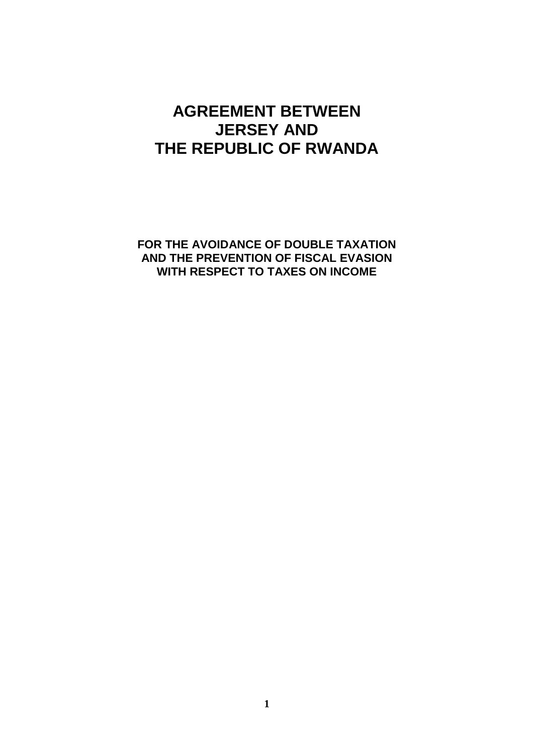# **AGREEMENT BETWEEN JERSEY AND THE REPUBLIC OF RWANDA**

**FOR THE AVOIDANCE OF DOUBLE TAXATION AND THE PREVENTION OF FISCAL EVASION WITH RESPECT TO TAXES ON INCOME**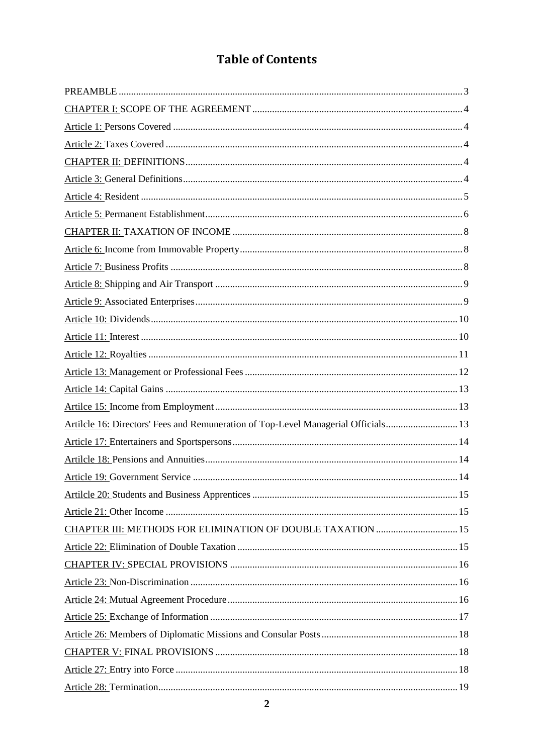# **Table of Contents**

| Artilcle 16: Directors' Fees and Remuneration of Top-Level Managerial Officials 13 |  |
|------------------------------------------------------------------------------------|--|
|                                                                                    |  |
|                                                                                    |  |
|                                                                                    |  |
|                                                                                    |  |
|                                                                                    |  |
| CHAPTER III: METHODS FOR ELIMINATION OF DOUBLE TAXATION  15                        |  |
|                                                                                    |  |
|                                                                                    |  |
|                                                                                    |  |
|                                                                                    |  |
|                                                                                    |  |
|                                                                                    |  |
|                                                                                    |  |
|                                                                                    |  |
|                                                                                    |  |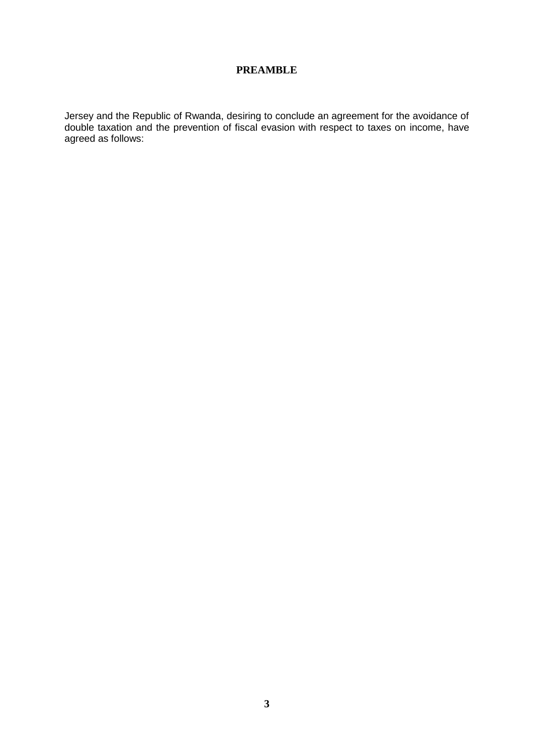# **PREAMBLE**

<span id="page-2-0"></span>Jersey and the Republic of Rwanda, desiring to conclude an agreement for the avoidance of double taxation and the prevention of fiscal evasion with respect to taxes on income, have agreed as follows: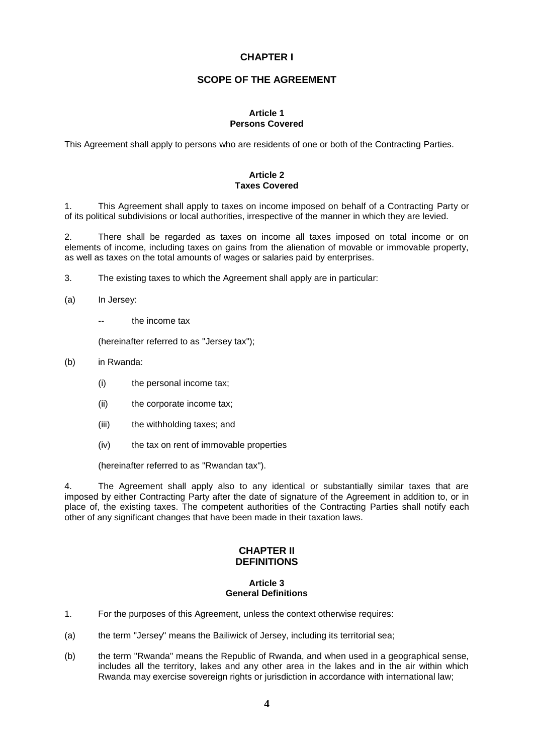## **CHAPTER I**

# **SCOPE OF THE AGREEMENT**

#### **Article 1 Persons Covered**

<span id="page-3-1"></span><span id="page-3-0"></span>This Agreement shall apply to persons who are residents of one or both of the Contracting Parties.

## **Article 2 Taxes Covered**

<span id="page-3-2"></span>1. This Agreement shall apply to taxes on income imposed on behalf of a Contracting Party or of its political subdivisions or local authorities, irrespective of the manner in which they are levied.

2. There shall be regarded as taxes on income all taxes imposed on total income or on elements of income, including taxes on gains from the alienation of movable or immovable property, as well as taxes on the total amounts of wages or salaries paid by enterprises.

- 3. The existing taxes to which the Agreement shall apply are in particular:
- (a) In Jersey:
	- the income tax

(hereinafter referred to as "Jersey tax");

- (b) in Rwanda:
	- (i) the personal income tax;
	- (ii) the corporate income tax;
	- (iii) the withholding taxes; and
	- (iv) the tax on rent of immovable properties

(hereinafter referred to as "Rwandan tax").

4. The Agreement shall apply also to any identical or substantially similar taxes that are imposed by either Contracting Party after the date of signature of the Agreement in addition to, or in place of, the existing taxes. The competent authorities of the Contracting Parties shall notify each other of any significant changes that have been made in their taxation laws.

## **CHAPTER II DEFINITIONS**

#### **Article 3 General Definitions**

- <span id="page-3-4"></span><span id="page-3-3"></span>1. For the purposes of this Agreement, unless the context otherwise requires:
- (a) the term "Jersey" means the Bailiwick of Jersey, including its territorial sea;
- (b) the term "Rwanda" means the Republic of Rwanda, and when used in a geographical sense, includes all the territory, lakes and any other area in the lakes and in the air within which Rwanda may exercise sovereign rights or jurisdiction in accordance with international law;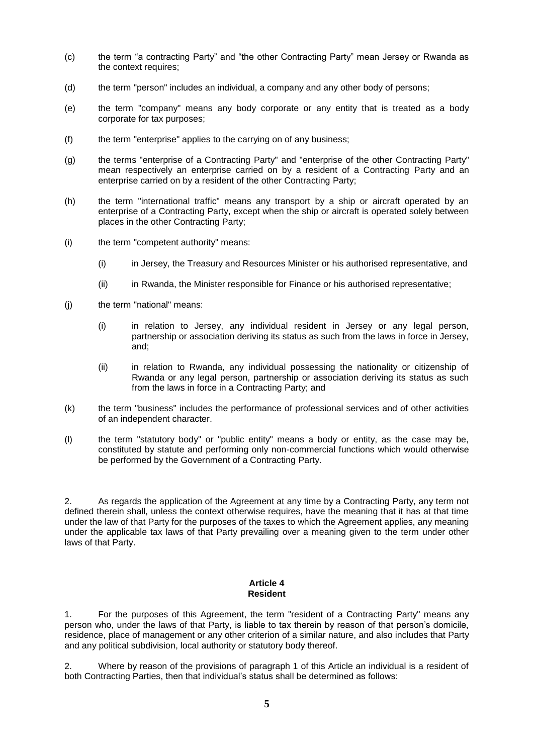- (c) the term "a contracting Party" and "the other Contracting Party" mean Jersey or Rwanda as the context requires;
- (d) the term "person" includes an individual, a company and any other body of persons;
- (e) the term "company" means any body corporate or any entity that is treated as a body corporate for tax purposes;
- (f) the term "enterprise" applies to the carrying on of any business;
- (g) the terms "enterprise of a Contracting Party" and "enterprise of the other Contracting Party" mean respectively an enterprise carried on by a resident of a Contracting Party and an enterprise carried on by a resident of the other Contracting Party;
- (h) the term "international traffic" means any transport by a ship or aircraft operated by an enterprise of a Contracting Party, except when the ship or aircraft is operated solely between places in the other Contracting Party;
- (i) the term "competent authority" means:
	- (i) in Jersey, the Treasury and Resources Minister or his authorised representative, and
	- (ii) in Rwanda, the Minister responsible for Finance or his authorised representative;
- (j) the term "national" means:
	- (i) in relation to Jersey, any individual resident in Jersey or any legal person, partnership or association deriving its status as such from the laws in force in Jersey, and;
	- (ii) in relation to Rwanda, any individual possessing the nationality or citizenship of Rwanda or any legal person, partnership or association deriving its status as such from the laws in force in a Contracting Party; and
- (k) the term "business" includes the performance of professional services and of other activities of an independent character.
- (l) the term "statutory body" or "public entity" means a body or entity, as the case may be, constituted by statute and performing only non-commercial functions which would otherwise be performed by the Government of a Contracting Party.

2. As regards the application of the Agreement at any time by a Contracting Party, any term not defined therein shall, unless the context otherwise requires, have the meaning that it has at that time under the law of that Party for the purposes of the taxes to which the Agreement applies, any meaning under the applicable tax laws of that Party prevailing over a meaning given to the term under other laws of that Party.

#### **Article 4 Resident**

<span id="page-4-0"></span>1. For the purposes of this Agreement, the term "resident of a Contracting Party" means any person who, under the laws of that Party, is liable to tax therein by reason of that person's domicile, residence, place of management or any other criterion of a similar nature, and also includes that Party and any political subdivision, local authority or statutory body thereof.

2. Where by reason of the provisions of paragraph 1 of this Article an individual is a resident of both Contracting Parties, then that individual's status shall be determined as follows: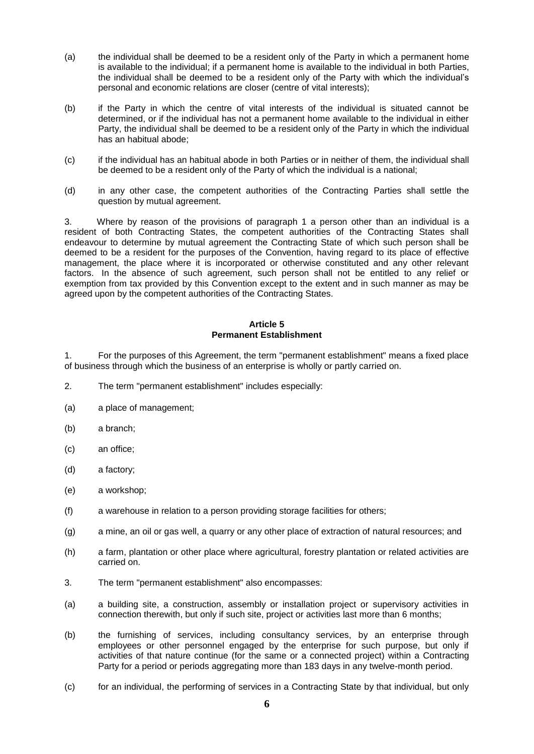- (a) the individual shall be deemed to be a resident only of the Party in which a permanent home is available to the individual; if a permanent home is available to the individual in both Parties, the individual shall be deemed to be a resident only of the Party with which the individual's personal and economic relations are closer (centre of vital interests);
- (b) if the Party in which the centre of vital interests of the individual is situated cannot be determined, or if the individual has not a permanent home available to the individual in either Party, the individual shall be deemed to be a resident only of the Party in which the individual has an habitual abode;
- (c) if the individual has an habitual abode in both Parties or in neither of them, the individual shall be deemed to be a resident only of the Party of which the individual is a national;
- (d) in any other case, the competent authorities of the Contracting Parties shall settle the question by mutual agreement.

3. Where by reason of the provisions of paragraph 1 a person other than an individual is a resident of both Contracting States, the competent authorities of the Contracting States shall endeavour to determine by mutual agreement the Contracting State of which such person shall be deemed to be a resident for the purposes of the Convention, having regard to its place of effective management, the place where it is incorporated or otherwise constituted and any other relevant factors. In the absence of such agreement, such person shall not be entitled to any relief or exemption from tax provided by this Convention except to the extent and in such manner as may be agreed upon by the competent authorities of the Contracting States.

## **Article 5 Permanent Establishment**

<span id="page-5-0"></span>1. For the purposes of this Agreement, the term "permanent establishment" means a fixed place of business through which the business of an enterprise is wholly or partly carried on.

- 2. The term "permanent establishment" includes especially:
- (a) a place of management;
- (b) a branch;
- (c) an office;
- (d) a factory;
- (e) a workshop;
- (f) a warehouse in relation to a person providing storage facilities for others;
- (g) a mine, an oil or gas well, a quarry or any other place of extraction of natural resources; and
- (h) a farm, plantation or other place where agricultural, forestry plantation or related activities are carried on.
- 3. The term "permanent establishment" also encompasses:
- (a) a building site, a construction, assembly or installation project or supervisory activities in connection therewith, but only if such site, project or activities last more than 6 months;
- (b) the furnishing of services, including consultancy services, by an enterprise through employees or other personnel engaged by the enterprise for such purpose, but only if activities of that nature continue (for the same or a connected project) within a Contracting Party for a period or periods aggregating more than 183 days in any twelve-month period.
- (c) for an individual, the performing of services in a Contracting State by that individual, but only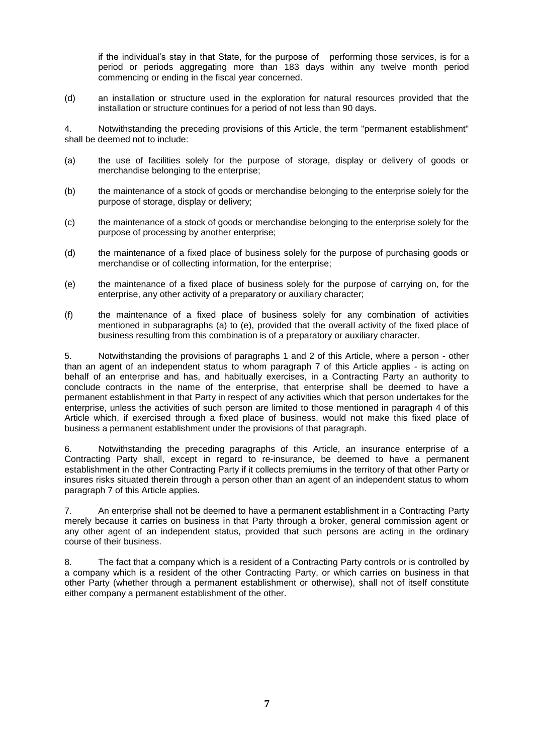if the individual's stay in that State, for the purpose of performing those services, is for a period or periods aggregating more than 183 days within any twelve month period commencing or ending in the fiscal year concerned.

(d) an installation or structure used in the exploration for natural resources provided that the installation or structure continues for a period of not less than 90 days.

4. Notwithstanding the preceding provisions of this Article, the term "permanent establishment" shall be deemed not to include:

- (a) the use of facilities solely for the purpose of storage, display or delivery of goods or merchandise belonging to the enterprise;
- (b) the maintenance of a stock of goods or merchandise belonging to the enterprise solely for the purpose of storage, display or delivery;
- (c) the maintenance of a stock of goods or merchandise belonging to the enterprise solely for the purpose of processing by another enterprise;
- (d) the maintenance of a fixed place of business solely for the purpose of purchasing goods or merchandise or of collecting information, for the enterprise;
- (e) the maintenance of a fixed place of business solely for the purpose of carrying on, for the enterprise, any other activity of a preparatory or auxiliary character;
- (f) the maintenance of a fixed place of business solely for any combination of activities mentioned in subparagraphs (a) to (e), provided that the overall activity of the fixed place of business resulting from this combination is of a preparatory or auxiliary character.

5. Notwithstanding the provisions of paragraphs 1 and 2 of this Article, where a person - other than an agent of an independent status to whom paragraph 7 of this Article applies - is acting on behalf of an enterprise and has, and habitually exercises, in a Contracting Party an authority to conclude contracts in the name of the enterprise, that enterprise shall be deemed to have a permanent establishment in that Party in respect of any activities which that person undertakes for the enterprise, unless the activities of such person are limited to those mentioned in paragraph 4 of this Article which, if exercised through a fixed place of business, would not make this fixed place of business a permanent establishment under the provisions of that paragraph.

6. Notwithstanding the preceding paragraphs of this Article, an insurance enterprise of a Contracting Party shall, except in regard to re-insurance, be deemed to have a permanent establishment in the other Contracting Party if it collects premiums in the territory of that other Party or insures risks situated therein through a person other than an agent of an independent status to whom paragraph 7 of this Article applies.

7. An enterprise shall not be deemed to have a permanent establishment in a Contracting Party merely because it carries on business in that Party through a broker, general commission agent or any other agent of an independent status, provided that such persons are acting in the ordinary course of their business.

8. The fact that a company which is a resident of a Contracting Party controls or is controlled by a company which is a resident of the other Contracting Party, or which carries on business in that other Party (whether through a permanent establishment or otherwise), shall not of itself constitute either company a permanent establishment of the other.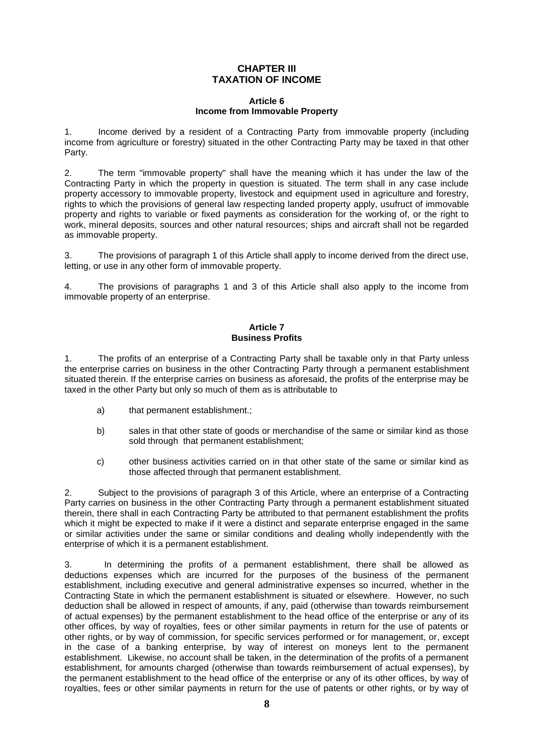# **CHAPTER III TAXATION OF INCOME**

## **Article 6 Income from Immovable Property**

<span id="page-7-1"></span><span id="page-7-0"></span>1. Income derived by a resident of a Contracting Party from immovable property (including income from agriculture or forestry) situated in the other Contracting Party may be taxed in that other Party.

2. The term "immovable property" shall have the meaning which it has under the law of the Contracting Party in which the property in question is situated. The term shall in any case include property accessory to immovable property, livestock and equipment used in agriculture and forestry, rights to which the provisions of general law respecting landed property apply, usufruct of immovable property and rights to variable or fixed payments as consideration for the working of, or the right to work, mineral deposits, sources and other natural resources; ships and aircraft shall not be regarded as immovable property.

3. The provisions of paragraph 1 of this Article shall apply to income derived from the direct use, letting, or use in any other form of immovable property.

4. The provisions of paragraphs 1 and 3 of this Article shall also apply to the income from immovable property of an enterprise.

## **Article 7 Business Profits**

<span id="page-7-2"></span>1. The profits of an enterprise of a Contracting Party shall be taxable only in that Party unless the enterprise carries on business in the other Contracting Party through a permanent establishment situated therein. If the enterprise carries on business as aforesaid, the profits of the enterprise may be taxed in the other Party but only so much of them as is attributable to

- a) that permanent establishment.;
- b) sales in that other state of goods or merchandise of the same or similar kind as those sold through that permanent establishment;
- c) other business activities carried on in that other state of the same or similar kind as those affected through that permanent establishment.

2. Subject to the provisions of paragraph 3 of this Article, where an enterprise of a Contracting Party carries on business in the other Contracting Party through a permanent establishment situated therein, there shall in each Contracting Party be attributed to that permanent establishment the profits which it might be expected to make if it were a distinct and separate enterprise engaged in the same or similar activities under the same or similar conditions and dealing wholly independently with the enterprise of which it is a permanent establishment.

3. In determining the profits of a permanent establishment, there shall be allowed as deductions expenses which are incurred for the purposes of the business of the permanent establishment, including executive and general administrative expenses so incurred, whether in the Contracting State in which the permanent establishment is situated or elsewhere. However, no such deduction shall be allowed in respect of amounts, if any, paid (otherwise than towards reimbursement of actual expenses) by the permanent establishment to the head office of the enterprise or any of its other offices, by way of royalties, fees or other similar payments in return for the use of patents or other rights, or by way of commission, for specific services performed or for management, or, except in the case of a banking enterprise, by way of interest on moneys lent to the permanent establishment. Likewise, no account shall be taken, in the determination of the profits of a permanent establishment, for amounts charged (otherwise than towards reimbursement of actual expenses), by the permanent establishment to the head office of the enterprise or any of its other offices, by way of royalties, fees or other similar payments in return for the use of patents or other rights, or by way of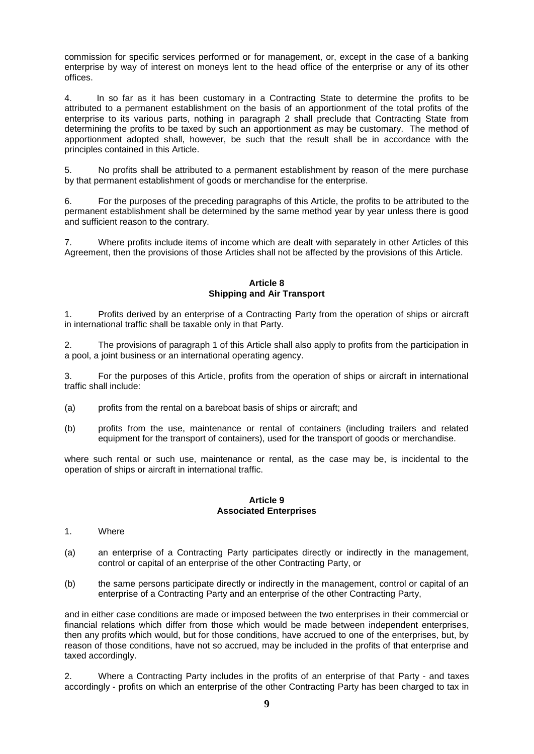commission for specific services performed or for management, or, except in the case of a banking enterprise by way of interest on moneys lent to the head office of the enterprise or any of its other offices.

4. In so far as it has been customary in a Contracting State to determine the profits to be attributed to a permanent establishment on the basis of an apportionment of the total profits of the enterprise to its various parts, nothing in paragraph 2 shall preclude that Contracting State from determining the profits to be taxed by such an apportionment as may be customary. The method of apportionment adopted shall, however, be such that the result shall be in accordance with the principles contained in this Article.

5. No profits shall be attributed to a permanent establishment by reason of the mere purchase by that permanent establishment of goods or merchandise for the enterprise.

6. For the purposes of the preceding paragraphs of this Article, the profits to be attributed to the permanent establishment shall be determined by the same method year by year unless there is good and sufficient reason to the contrary.

7. Where profits include items of income which are dealt with separately in other Articles of this Agreement, then the provisions of those Articles shall not be affected by the provisions of this Article.

## **Article 8 Shipping and Air Transport**

<span id="page-8-0"></span>1. Profits derived by an enterprise of a Contracting Party from the operation of ships or aircraft in international traffic shall be taxable only in that Party.

2. The provisions of paragraph 1 of this Article shall also apply to profits from the participation in a pool, a joint business or an international operating agency.

3. For the purposes of this Article, profits from the operation of ships or aircraft in international traffic shall include:

- (a) profits from the rental on a bareboat basis of ships or aircraft; and
- (b) profits from the use, maintenance or rental of containers (including trailers and related equipment for the transport of containers), used for the transport of goods or merchandise.

where such rental or such use, maintenance or rental, as the case may be, is incidental to the operation of ships or aircraft in international traffic.

## **Article 9 Associated Enterprises**

- <span id="page-8-1"></span>1. Where
- (a) an enterprise of a Contracting Party participates directly or indirectly in the management, control or capital of an enterprise of the other Contracting Party, or
- (b) the same persons participate directly or indirectly in the management, control or capital of an enterprise of a Contracting Party and an enterprise of the other Contracting Party,

and in either case conditions are made or imposed between the two enterprises in their commercial or financial relations which differ from those which would be made between independent enterprises, then any profits which would, but for those conditions, have accrued to one of the enterprises, but, by reason of those conditions, have not so accrued, may be included in the profits of that enterprise and taxed accordingly.

2. Where a Contracting Party includes in the profits of an enterprise of that Party - and taxes accordingly - profits on which an enterprise of the other Contracting Party has been charged to tax in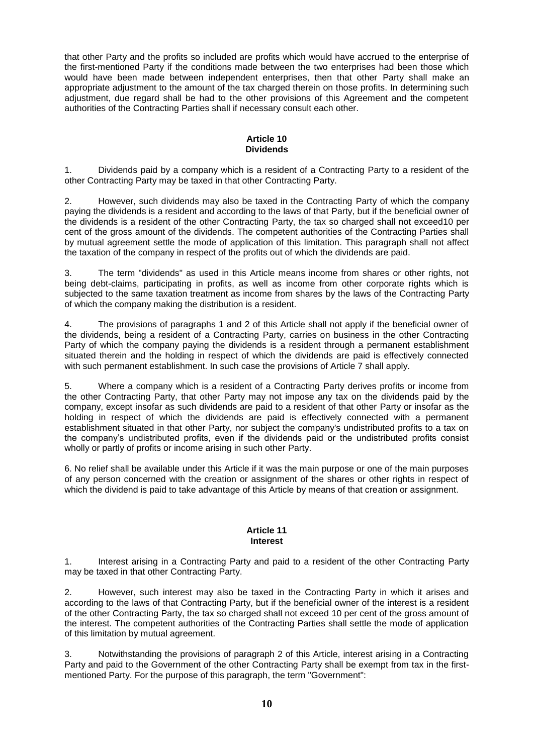that other Party and the profits so included are profits which would have accrued to the enterprise of the first-mentioned Party if the conditions made between the two enterprises had been those which would have been made between independent enterprises, then that other Party shall make an appropriate adjustment to the amount of the tax charged therein on those profits. In determining such adjustment, due regard shall be had to the other provisions of this Agreement and the competent authorities of the Contracting Parties shall if necessary consult each other.

## **Article 10 Dividends**

<span id="page-9-0"></span>1. Dividends paid by a company which is a resident of a Contracting Party to a resident of the other Contracting Party may be taxed in that other Contracting Party.

2. However, such dividends may also be taxed in the Contracting Party of which the company paying the dividends is a resident and according to the laws of that Party, but if the beneficial owner of the dividends is a resident of the other Contracting Party, the tax so charged shall not exceed10 per cent of the gross amount of the dividends. The competent authorities of the Contracting Parties shall by mutual agreement settle the mode of application of this limitation. This paragraph shall not affect the taxation of the company in respect of the profits out of which the dividends are paid.

3. The term "dividends" as used in this Article means income from shares or other rights, not being debt-claims, participating in profits, as well as income from other corporate rights which is subjected to the same taxation treatment as income from shares by the laws of the Contracting Party of which the company making the distribution is a resident.

4. The provisions of paragraphs 1 and 2 of this Article shall not apply if the beneficial owner of the dividends, being a resident of a Contracting Party, carries on business in the other Contracting Party of which the company paying the dividends is a resident through a permanent establishment situated therein and the holding in respect of which the dividends are paid is effectively connected with such permanent establishment. In such case the provisions of Article 7 shall apply.

5. Where a company which is a resident of a Contracting Party derives profits or income from the other Contracting Party, that other Party may not impose any tax on the dividends paid by the company, except insofar as such dividends are paid to a resident of that other Party or insofar as the holding in respect of which the dividends are paid is effectively connected with a permanent establishment situated in that other Party, nor subject the company's undistributed profits to a tax on the company's undistributed profits, even if the dividends paid or the undistributed profits consist wholly or partly of profits or income arising in such other Party.

6. No relief shall be available under this Article if it was the main purpose or one of the main purposes of any person concerned with the creation or assignment of the shares or other rights in respect of which the dividend is paid to take advantage of this Article by means of that creation or assignment.

## **Article 11 Interest**

<span id="page-9-1"></span>1. Interest arising in a Contracting Party and paid to a resident of the other Contracting Party may be taxed in that other Contracting Party.

2. However, such interest may also be taxed in the Contracting Party in which it arises and according to the laws of that Contracting Party, but if the beneficial owner of the interest is a resident of the other Contracting Party, the tax so charged shall not exceed 10 per cent of the gross amount of the interest. The competent authorities of the Contracting Parties shall settle the mode of application of this limitation by mutual agreement.

3. Notwithstanding the provisions of paragraph 2 of this Article, interest arising in a Contracting Party and paid to the Government of the other Contracting Party shall be exempt from tax in the firstmentioned Party. For the purpose of this paragraph, the term "Government":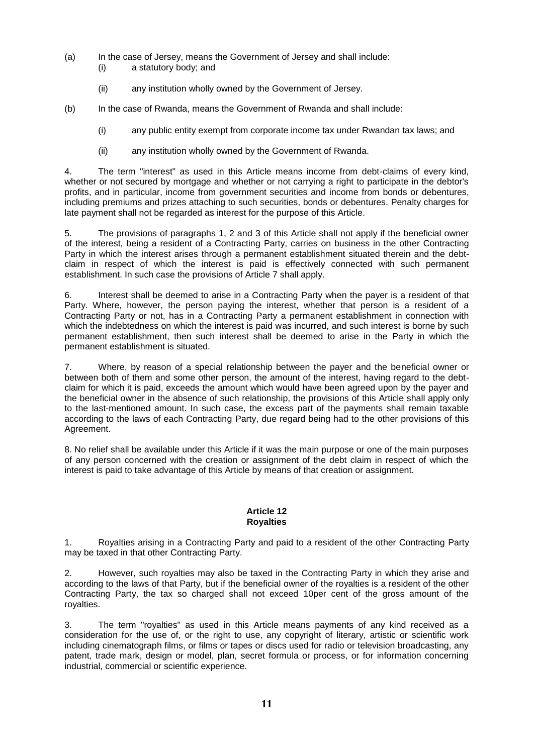- (a) In the case of Jersey, means the Government of Jersey and shall include:
	- (i) a statutory body; and
	- (ii) any institution wholly owned by the Government of Jersey.
- (b) In the case of Rwanda, means the Government of Rwanda and shall include:
	- (i) any public entity exempt from corporate income tax under Rwandan tax laws; and
	- (ii) any institution wholly owned by the Government of Rwanda.

4. The term "interest" as used in this Article means income from debt-claims of every kind, whether or not secured by mortgage and whether or not carrying a right to participate in the debtor's profits, and in particular, income from government securities and income from bonds or debentures, including premiums and prizes attaching to such securities, bonds or debentures. Penalty charges for late payment shall not be regarded as interest for the purpose of this Article.

5. The provisions of paragraphs 1, 2 and 3 of this Article shall not apply if the beneficial owner of the interest, being a resident of a Contracting Party, carries on business in the other Contracting Party in which the interest arises through a permanent establishment situated therein and the debtclaim in respect of which the interest is paid is effectively connected with such permanent establishment. In such case the provisions of Article 7 shall apply.

6. Interest shall be deemed to arise in a Contracting Party when the payer is a resident of that Party. Where, however, the person paying the interest, whether that person is a resident of a Contracting Party or not, has in a Contracting Party a permanent establishment in connection with which the indebtedness on which the interest is paid was incurred, and such interest is borne by such permanent establishment, then such interest shall be deemed to arise in the Party in which the permanent establishment is situated.

7. Where, by reason of a special relationship between the payer and the beneficial owner or between both of them and some other person, the amount of the interest, having regard to the debtclaim for which it is paid, exceeds the amount which would have been agreed upon by the payer and the beneficial owner in the absence of such relationship, the provisions of this Article shall apply only to the last-mentioned amount. In such case, the excess part of the payments shall remain taxable according to the laws of each Contracting Party, due regard being had to the other provisions of this Agreement.

8. No relief shall be available under this Article if it was the main purpose or one of the main purposes of any person concerned with the creation or assignment of the debt claim in respect of which the interest is paid to take advantage of this Article by means of that creation or assignment.

## **Article 12 Royalties**

<span id="page-10-0"></span>1. Royalties arising in a Contracting Party and paid to a resident of the other Contracting Party may be taxed in that other Contracting Party.

2. However, such royalties may also be taxed in the Contracting Party in which they arise and according to the laws of that Party, but if the beneficial owner of the royalties is a resident of the other Contracting Party, the tax so charged shall not exceed 10per cent of the gross amount of the royalties.

3. The term "royalties" as used in this Article means payments of any kind received as a consideration for the use of, or the right to use, any copyright of literary, artistic or scientific work including cinematograph films, or films or tapes or discs used for radio or television broadcasting, any patent, trade mark, design or model, plan, secret formula or process, or for information concerning industrial, commercial or scientific experience.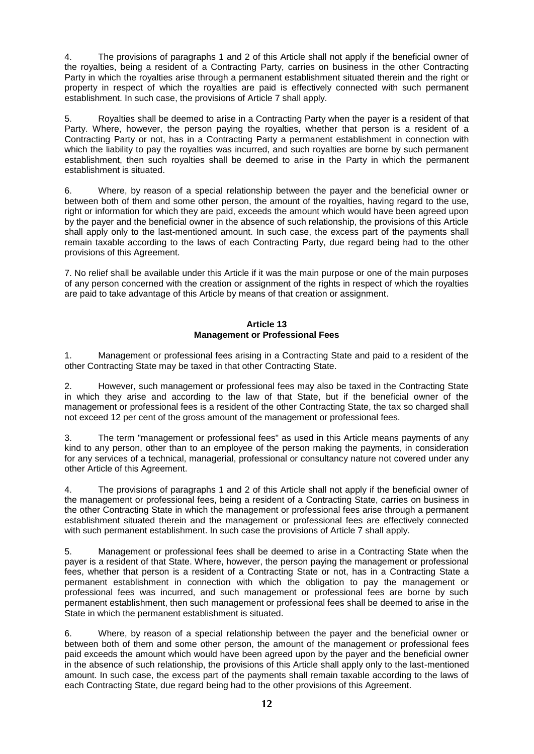4. The provisions of paragraphs 1 and 2 of this Article shall not apply if the beneficial owner of the royalties, being a resident of a Contracting Party, carries on business in the other Contracting Party in which the royalties arise through a permanent establishment situated therein and the right or property in respect of which the royalties are paid is effectively connected with such permanent establishment. In such case, the provisions of Article 7 shall apply.

5. Royalties shall be deemed to arise in a Contracting Party when the payer is a resident of that Party. Where, however, the person paying the royalties, whether that person is a resident of a Contracting Party or not, has in a Contracting Party a permanent establishment in connection with which the liability to pay the royalties was incurred, and such royalties are borne by such permanent establishment, then such royalties shall be deemed to arise in the Party in which the permanent establishment is situated.

6. Where, by reason of a special relationship between the payer and the beneficial owner or between both of them and some other person, the amount of the royalties, having regard to the use, right or information for which they are paid, exceeds the amount which would have been agreed upon by the payer and the beneficial owner in the absence of such relationship, the provisions of this Article shall apply only to the last-mentioned amount. In such case, the excess part of the payments shall remain taxable according to the laws of each Contracting Party, due regard being had to the other provisions of this Agreement.

7. No relief shall be available under this Article if it was the main purpose or one of the main purposes of any person concerned with the creation or assignment of the rights in respect of which the royalties are paid to take advantage of this Article by means of that creation or assignment.

## **Article 13 Management or Professional Fees**

<span id="page-11-0"></span>1. Management or professional fees arising in a Contracting State and paid to a resident of the other Contracting State may be taxed in that other Contracting State.

2. However, such management or professional fees may also be taxed in the Contracting State in which they arise and according to the law of that State, but if the beneficial owner of the management or professional fees is a resident of the other Contracting State, the tax so charged shall not exceed 12 per cent of the gross amount of the management or professional fees.

3. The term "management or professional fees" as used in this Article means payments of any kind to any person, other than to an employee of the person making the payments, in consideration for any services of a technical, managerial, professional or consultancy nature not covered under any other Article of this Agreement.

4. The provisions of paragraphs 1 and 2 of this Article shall not apply if the beneficial owner of the management or professional fees, being a resident of a Contracting State, carries on business in the other Contracting State in which the management or professional fees arise through a permanent establishment situated therein and the management or professional fees are effectively connected with such permanent establishment. In such case the provisions of Article 7 shall apply.

5. Management or professional fees shall be deemed to arise in a Contracting State when the payer is a resident of that State. Where, however, the person paying the management or professional fees, whether that person is a resident of a Contracting State or not, has in a Contracting State a permanent establishment in connection with which the obligation to pay the management or professional fees was incurred, and such management or professional fees are borne by such permanent establishment, then such management or professional fees shall be deemed to arise in the State in which the permanent establishment is situated.

6. Where, by reason of a special relationship between the payer and the beneficial owner or between both of them and some other person, the amount of the management or professional fees paid exceeds the amount which would have been agreed upon by the payer and the beneficial owner in the absence of such relationship, the provisions of this Article shall apply only to the last-mentioned amount. In such case, the excess part of the payments shall remain taxable according to the laws of each Contracting State, due regard being had to the other provisions of this Agreement.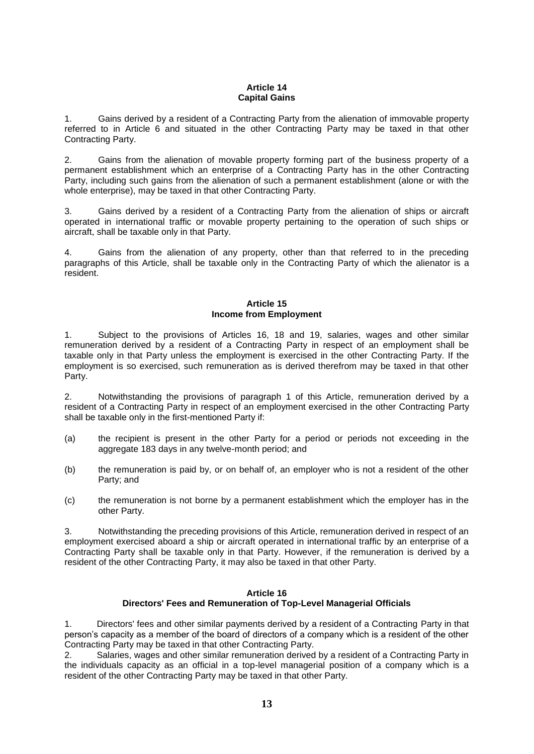## **Article 14 Capital Gains**

<span id="page-12-0"></span>1. Gains derived by a resident of a Contracting Party from the alienation of immovable property referred to in Article 6 and situated in the other Contracting Party may be taxed in that other Contracting Party.

2. Gains from the alienation of movable property forming part of the business property of a permanent establishment which an enterprise of a Contracting Party has in the other Contracting Party, including such gains from the alienation of such a permanent establishment (alone or with the whole enterprise), may be taxed in that other Contracting Party.

3. Gains derived by a resident of a Contracting Party from the alienation of ships or aircraft operated in international traffic or movable property pertaining to the operation of such ships or aircraft, shall be taxable only in that Party.

4. Gains from the alienation of any property, other than that referred to in the preceding paragraphs of this Article, shall be taxable only in the Contracting Party of which the alienator is a resident.

## **Article 15 Income from Employment**

<span id="page-12-1"></span>1. Subject to the provisions of Articles 16, 18 and 19, salaries, wages and other similar remuneration derived by a resident of a Contracting Party in respect of an employment shall be taxable only in that Party unless the employment is exercised in the other Contracting Party. If the employment is so exercised, such remuneration as is derived therefrom may be taxed in that other Party.

2. Notwithstanding the provisions of paragraph 1 of this Article, remuneration derived by a resident of a Contracting Party in respect of an employment exercised in the other Contracting Party shall be taxable only in the first-mentioned Party if:

- (a) the recipient is present in the other Party for a period or periods not exceeding in the aggregate 183 days in any twelve-month period; and
- (b) the remuneration is paid by, or on behalf of, an employer who is not a resident of the other Party; and
- (c) the remuneration is not borne by a permanent establishment which the employer has in the other Party.

3. Notwithstanding the preceding provisions of this Article, remuneration derived in respect of an employment exercised aboard a ship or aircraft operated in international traffic by an enterprise of a Contracting Party shall be taxable only in that Party. However, if the remuneration is derived by a resident of the other Contracting Party, it may also be taxed in that other Party.

## **Article 16 Directors' Fees and Remuneration of Top-Level Managerial Officials**

<span id="page-12-2"></span>1. Directors' fees and other similar payments derived by a resident of a Contracting Party in that person's capacity as a member of the board of directors of a company which is a resident of the other Contracting Party may be taxed in that other Contracting Party.

2. Salaries, wages and other similar remuneration derived by a resident of a Contracting Party in the individuals capacity as an official in a top-level managerial position of a company which is a resident of the other Contracting Party may be taxed in that other Party.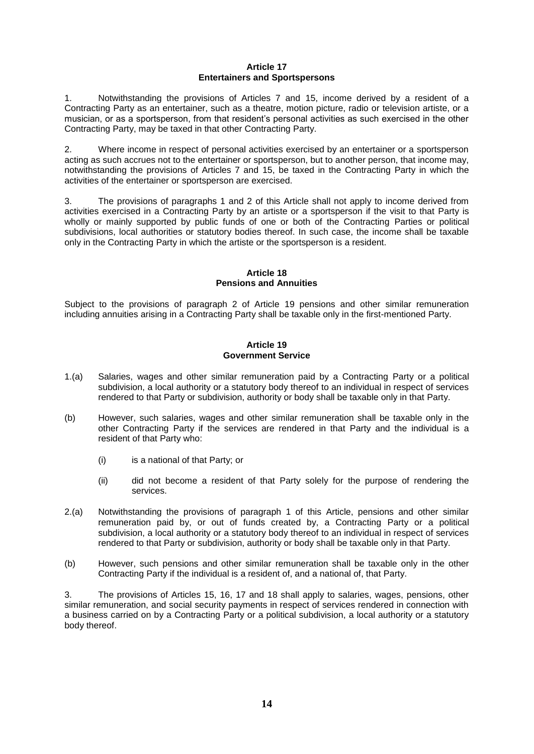## **Article 17 Entertainers and Sportspersons**

<span id="page-13-0"></span>1. Notwithstanding the provisions of Articles 7 and 15, income derived by a resident of a Contracting Party as an entertainer, such as a theatre, motion picture, radio or television artiste, or a musician, or as a sportsperson, from that resident's personal activities as such exercised in the other Contracting Party, may be taxed in that other Contracting Party.

2. Where income in respect of personal activities exercised by an entertainer or a sportsperson acting as such accrues not to the entertainer or sportsperson, but to another person, that income may, notwithstanding the provisions of Articles 7 and 15, be taxed in the Contracting Party in which the activities of the entertainer or sportsperson are exercised.

3. The provisions of paragraphs 1 and 2 of this Article shall not apply to income derived from activities exercised in a Contracting Party by an artiste or a sportsperson if the visit to that Party is wholly or mainly supported by public funds of one or both of the Contracting Parties or political subdivisions, local authorities or statutory bodies thereof. In such case, the income shall be taxable only in the Contracting Party in which the artiste or the sportsperson is a resident.

## **Article 18 Pensions and Annuities**

<span id="page-13-1"></span>Subject to the provisions of paragraph 2 of Article 19 pensions and other similar remuneration including annuities arising in a Contracting Party shall be taxable only in the first-mentioned Party.

## **Article 19 Government Service**

- <span id="page-13-2"></span>1.(a) Salaries, wages and other similar remuneration paid by a Contracting Party or a political subdivision, a local authority or a statutory body thereof to an individual in respect of services rendered to that Party or subdivision, authority or body shall be taxable only in that Party.
- (b) However, such salaries, wages and other similar remuneration shall be taxable only in the other Contracting Party if the services are rendered in that Party and the individual is a resident of that Party who:
	- (i) is a national of that Party; or
	- (ii) did not become a resident of that Party solely for the purpose of rendering the services.
- 2.(a) Notwithstanding the provisions of paragraph 1 of this Article, pensions and other similar remuneration paid by, or out of funds created by, a Contracting Party or a political subdivision, a local authority or a statutory body thereof to an individual in respect of services rendered to that Party or subdivision, authority or body shall be taxable only in that Party.
- (b) However, such pensions and other similar remuneration shall be taxable only in the other Contracting Party if the individual is a resident of, and a national of, that Party.

3. The provisions of Articles 15, 16, 17 and 18 shall apply to salaries, wages, pensions, other similar remuneration, and social security payments in respect of services rendered in connection with a business carried on by a Contracting Party or a political subdivision, a local authority or a statutory body thereof.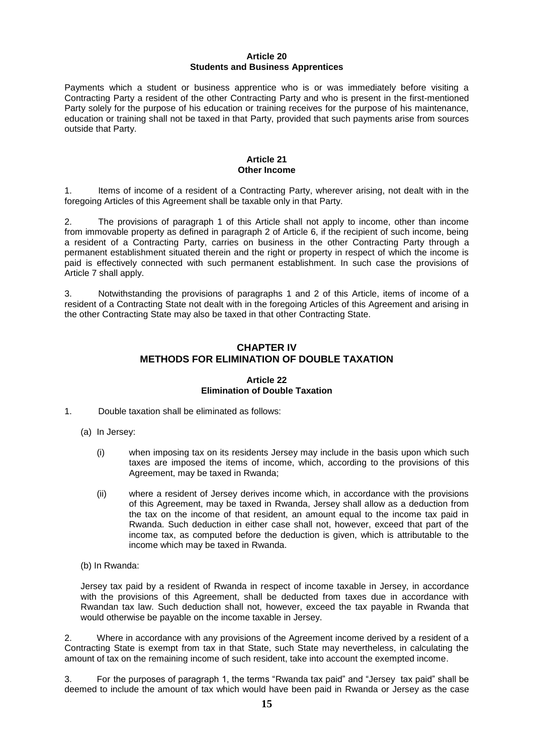#### **Article 20 Students and Business Apprentices**

<span id="page-14-0"></span>Payments which a student or business apprentice who is or was immediately before visiting a Contracting Party a resident of the other Contracting Party and who is present in the first-mentioned Party solely for the purpose of his education or training receives for the purpose of his maintenance, education or training shall not be taxed in that Party, provided that such payments arise from sources outside that Party.

## **Article 21 Other Income**

<span id="page-14-1"></span>1. Items of income of a resident of a Contracting Party, wherever arising, not dealt with in the foregoing Articles of this Agreement shall be taxable only in that Party.

2. The provisions of paragraph 1 of this Article shall not apply to income, other than income from immovable property as defined in paragraph 2 of Article 6, if the recipient of such income, being a resident of a Contracting Party, carries on business in the other Contracting Party through a permanent establishment situated therein and the right or property in respect of which the income is paid is effectively connected with such permanent establishment. In such case the provisions of Article 7 shall apply.

3. Notwithstanding the provisions of paragraphs 1 and 2 of this Article, items of income of a resident of a Contracting State not dealt with in the foregoing Articles of this Agreement and arising in the other Contracting State may also be taxed in that other Contracting State.

# **CHAPTER IV METHODS FOR ELIMINATION OF DOUBLE TAXATION**

## **Article 22 Elimination of Double Taxation**

- <span id="page-14-3"></span><span id="page-14-2"></span>1. Double taxation shall be eliminated as follows:
	- (a) In Jersey:
		- (i) when imposing tax on its residents Jersey may include in the basis upon which such taxes are imposed the items of income, which, according to the provisions of this Agreement, may be taxed in Rwanda;
		- (ii) where a resident of Jersey derives income which, in accordance with the provisions of this Agreement, may be taxed in Rwanda, Jersey shall allow as a deduction from the tax on the income of that resident, an amount equal to the income tax paid in Rwanda. Such deduction in either case shall not, however, exceed that part of the income tax, as computed before the deduction is given, which is attributable to the income which may be taxed in Rwanda.
	- (b) In Rwanda:

Jersey tax paid by a resident of Rwanda in respect of income taxable in Jersey, in accordance with the provisions of this Agreement, shall be deducted from taxes due in accordance with Rwandan tax law. Such deduction shall not, however, exceed the tax payable in Rwanda that would otherwise be payable on the income taxable in Jersey.

Where in accordance with any provisions of the Agreement income derived by a resident of a Contracting State is exempt from tax in that State, such State may nevertheless, in calculating the amount of tax on the remaining income of such resident, take into account the exempted income.

3. For the purposes of paragraph 1, the terms "Rwanda tax paid" and "Jersey tax paid" shall be deemed to include the amount of tax which would have been paid in Rwanda or Jersey as the case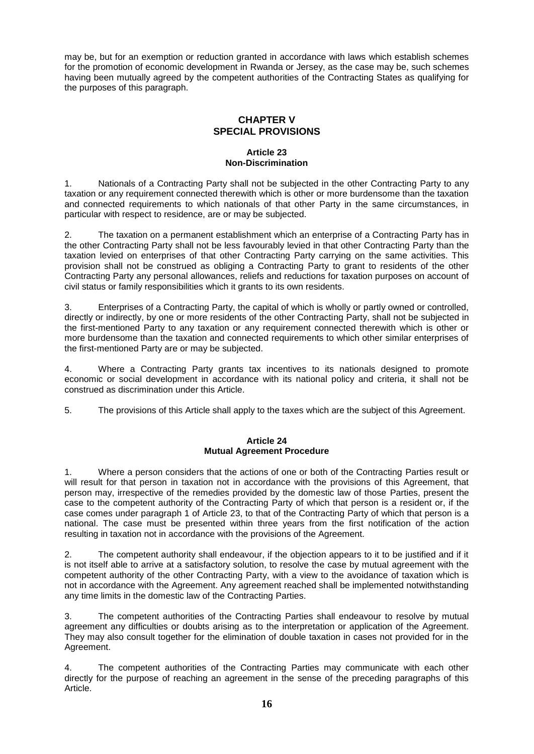may be, but for an exemption or reduction granted in accordance with laws which establish schemes for the promotion of economic development in Rwanda or Jersey, as the case may be, such schemes having been mutually agreed by the competent authorities of the Contracting States as qualifying for the purposes of this paragraph.

# **CHAPTER V SPECIAL PROVISIONS**

## **Article 23 Non-Discrimination**

<span id="page-15-1"></span><span id="page-15-0"></span>1. Nationals of a Contracting Party shall not be subjected in the other Contracting Party to any taxation or any requirement connected therewith which is other or more burdensome than the taxation and connected requirements to which nationals of that other Party in the same circumstances, in particular with respect to residence, are or may be subjected.

2. The taxation on a permanent establishment which an enterprise of a Contracting Party has in the other Contracting Party shall not be less favourably levied in that other Contracting Party than the taxation levied on enterprises of that other Contracting Party carrying on the same activities. This provision shall not be construed as obliging a Contracting Party to grant to residents of the other Contracting Party any personal allowances, reliefs and reductions for taxation purposes on account of civil status or family responsibilities which it grants to its own residents.

3. Enterprises of a Contracting Party, the capital of which is wholly or partly owned or controlled, directly or indirectly, by one or more residents of the other Contracting Party, shall not be subjected in the first-mentioned Party to any taxation or any requirement connected therewith which is other or more burdensome than the taxation and connected requirements to which other similar enterprises of the first-mentioned Party are or may be subjected.

4. Where a Contracting Party grants tax incentives to its nationals designed to promote economic or social development in accordance with its national policy and criteria, it shall not be construed as discrimination under this Article.

5. The provisions of this Article shall apply to the taxes which are the subject of this Agreement.

## **Article 24 Mutual Agreement Procedure**

<span id="page-15-2"></span>1. Where a person considers that the actions of one or both of the Contracting Parties result or will result for that person in taxation not in accordance with the provisions of this Agreement, that person may, irrespective of the remedies provided by the domestic law of those Parties, present the case to the competent authority of the Contracting Party of which that person is a resident or, if the case comes under paragraph 1 of Article 23, to that of the Contracting Party of which that person is a national. The case must be presented within three years from the first notification of the action resulting in taxation not in accordance with the provisions of the Agreement.

2. The competent authority shall endeavour, if the objection appears to it to be justified and if it is not itself able to arrive at a satisfactory solution, to resolve the case by mutual agreement with the competent authority of the other Contracting Party, with a view to the avoidance of taxation which is not in accordance with the Agreement. Any agreement reached shall be implemented notwithstanding any time limits in the domestic law of the Contracting Parties.

3. The competent authorities of the Contracting Parties shall endeavour to resolve by mutual agreement any difficulties or doubts arising as to the interpretation or application of the Agreement. They may also consult together for the elimination of double taxation in cases not provided for in the Agreement.

4. The competent authorities of the Contracting Parties may communicate with each other directly for the purpose of reaching an agreement in the sense of the preceding paragraphs of this Article.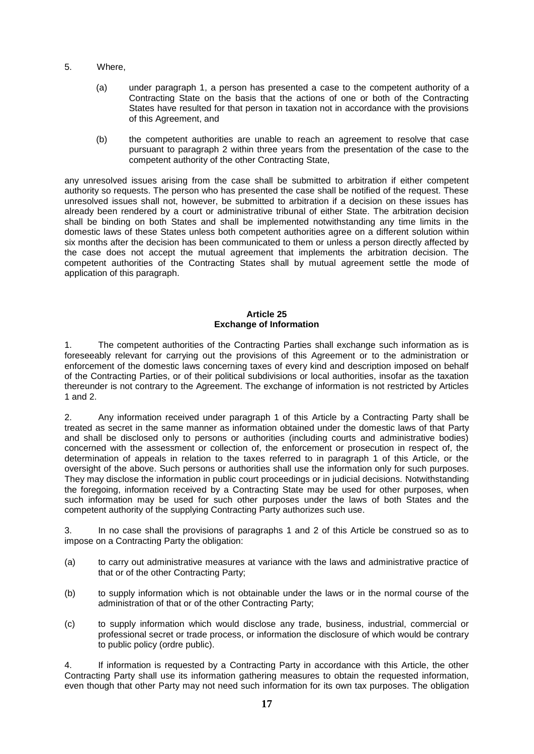- 5. Where,
	- (a) under paragraph 1, a person has presented a case to the competent authority of a Contracting State on the basis that the actions of one or both of the Contracting States have resulted for that person in taxation not in accordance with the provisions of this Agreement, and
	- (b) the competent authorities are unable to reach an agreement to resolve that case pursuant to paragraph 2 within three years from the presentation of the case to the competent authority of the other Contracting State,

any unresolved issues arising from the case shall be submitted to arbitration if either competent authority so requests. The person who has presented the case shall be notified of the request. These unresolved issues shall not, however, be submitted to arbitration if a decision on these issues has already been rendered by a court or administrative tribunal of either State. The arbitration decision shall be binding on both States and shall be implemented notwithstanding any time limits in the domestic laws of these States unless both competent authorities agree on a different solution within six months after the decision has been communicated to them or unless a person directly affected by the case does not accept the mutual agreement that implements the arbitration decision. The competent authorities of the Contracting States shall by mutual agreement settle the mode of application of this paragraph.

## **Article 25 Exchange of Information**

<span id="page-16-0"></span>1. The competent authorities of the Contracting Parties shall exchange such information as is foreseeably relevant for carrying out the provisions of this Agreement or to the administration or enforcement of the domestic laws concerning taxes of every kind and description imposed on behalf of the Contracting Parties, or of their political subdivisions or local authorities, insofar as the taxation thereunder is not contrary to the Agreement. The exchange of information is not restricted by Articles 1 and 2.

2. Any information received under paragraph 1 of this Article by a Contracting Party shall be treated as secret in the same manner as information obtained under the domestic laws of that Party and shall be disclosed only to persons or authorities (including courts and administrative bodies) concerned with the assessment or collection of, the enforcement or prosecution in respect of, the determination of appeals in relation to the taxes referred to in paragraph 1 of this Article, or the oversight of the above. Such persons or authorities shall use the information only for such purposes. They may disclose the information in public court proceedings or in judicial decisions. Notwithstanding the foregoing, information received by a Contracting State may be used for other purposes, when such information may be used for such other purposes under the laws of both States and the competent authority of the supplying Contracting Party authorizes such use.

3. In no case shall the provisions of paragraphs 1 and 2 of this Article be construed so as to impose on a Contracting Party the obligation:

- (a) to carry out administrative measures at variance with the laws and administrative practice of that or of the other Contracting Party;
- (b) to supply information which is not obtainable under the laws or in the normal course of the administration of that or of the other Contracting Party;
- (c) to supply information which would disclose any trade, business, industrial, commercial or professional secret or trade process, or information the disclosure of which would be contrary to public policy (ordre public).

4. If information is requested by a Contracting Party in accordance with this Article, the other Contracting Party shall use its information gathering measures to obtain the requested information, even though that other Party may not need such information for its own tax purposes. The obligation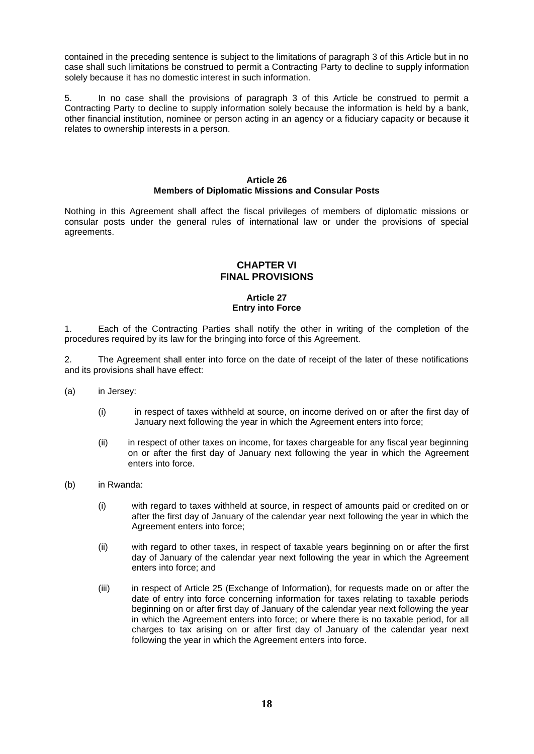contained in the preceding sentence is subject to the limitations of paragraph 3 of this Article but in no case shall such limitations be construed to permit a Contracting Party to decline to supply information solely because it has no domestic interest in such information.

5. In no case shall the provisions of paragraph 3 of this Article be construed to permit a Contracting Party to decline to supply information solely because the information is held by a bank, other financial institution, nominee or person acting in an agency or a fiduciary capacity or because it relates to ownership interests in a person.

## **Article 26 Members of Diplomatic Missions and Consular Posts**

<span id="page-17-0"></span>Nothing in this Agreement shall affect the fiscal privileges of members of diplomatic missions or consular posts under the general rules of international law or under the provisions of special agreements.

# **CHAPTER VI FINAL PROVISIONS**

## **Article 27 Entry into Force**

<span id="page-17-2"></span><span id="page-17-1"></span>1. Each of the Contracting Parties shall notify the other in writing of the completion of the procedures required by its law for the bringing into force of this Agreement.

2. The Agreement shall enter into force on the date of receipt of the later of these notifications and its provisions shall have effect:

- (a) in Jersey:
	- (i) in respect of taxes withheld at source, on income derived on or after the first day of January next following the year in which the Agreement enters into force;
	- (ii) in respect of other taxes on income, for taxes chargeable for any fiscal year beginning on or after the first day of January next following the year in which the Agreement enters into force.
- (b) in Rwanda:
	- (i) with regard to taxes withheld at source, in respect of amounts paid or credited on or after the first day of January of the calendar year next following the year in which the Agreement enters into force;
	- (ii) with regard to other taxes, in respect of taxable years beginning on or after the first day of January of the calendar year next following the year in which the Agreement enters into force; and
	- (iii) in respect of Article 25 (Exchange of Information), for requests made on or after the date of entry into force concerning information for taxes relating to taxable periods beginning on or after first day of January of the calendar year next following the year in which the Agreement enters into force; or where there is no taxable period, for all charges to tax arising on or after first day of January of the calendar year next following the year in which the Agreement enters into force.